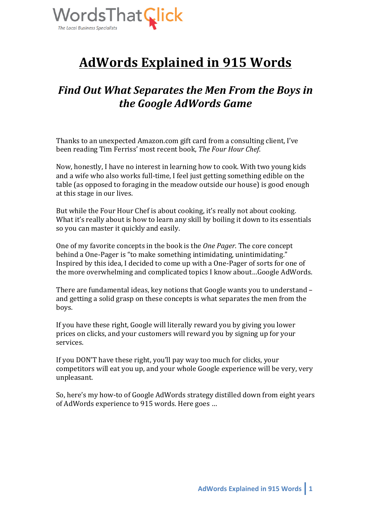

# **AdWords Explained in 915 Words**

# Find Out What Separates the Men From the Boys in *the Google AdWords Game*

Thanks to an unexpected Amazon.com gift card from a consulting client. I've been reading Tim Ferriss' most recent book, The Four Hour Chef.

Now, honestly, I have no interest in learning how to cook. With two young kids and a wife who also works full-time, I feel just getting something edible on the table (as opposed to foraging in the meadow outside our house) is good enough at this stage in our lives.

But while the Four Hour Chef is about cooking, it's really not about cooking. What it's really about is how to learn any skill by boiling it down to its essentials so you can master it quickly and easily.

One of my favorite concepts in the book is the *One Pager*. The core concept behind a One-Pager is "to make something intimidating, unintimidating." Inspired by this idea, I decided to come up with a One-Pager of sorts for one of the more overwhelming and complicated topics I know about...Google AdWords.

There are fundamental ideas, key notions that Google wants you to understand and getting a solid grasp on these concepts is what separates the men from the boys.

If you have these right, Google will literally reward you by giving you lower prices on clicks, and your customers will reward you by signing up for your services.

If you DON'T have these right, you'll pay way too much for clicks, your competitors will eat you up, and your whole Google experience will be very, very unpleasant. 

So, here's my how-to of Google AdWords strategy distilled down from eight years of AdWords experience to 915 words. Here goes ...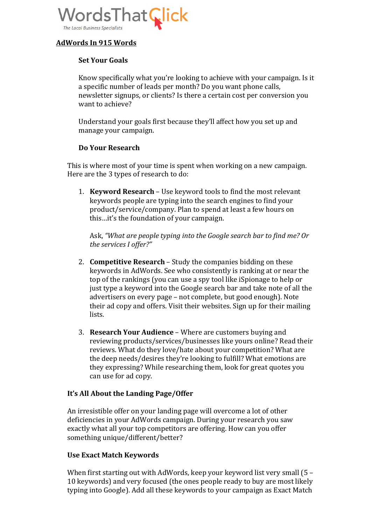

# **AdWords In 915 Words**

## **Set Your Goals**

Know specifically what you're looking to achieve with your campaign. Is it a specific number of leads per month? Do you want phone calls, newsletter signups, or clients? Is there a certain cost per conversion you want to achieve?

Understand your goals first because they'll affect how you set up and manage your campaign.

#### **Do Your Research**

This is where most of your time is spent when working on a new campaign. Here are the 3 types of research to do:

1. **Keyword Research** – Use keyword tools to find the most relevant keywords people are typing into the search engines to find your product/service/company. Plan to spend at least a few hours on this...it's the foundation of your campaign.

Ask, "What are people typing into the Google search bar to find me? Or the services I offer?"

- 2. **Competitive Research** Study the companies bidding on these keywords in AdWords. See who consistently is ranking at or near the top of the rankings (you can use a spy tool like iSpionage to help or just type a keyword into the Google search bar and take note of all the advertisers on every page – not complete, but good enough). Note their ad copy and offers. Visit their websites. Sign up for their mailing lists.
- 3. **Research Your Audience** Where are customers buying and reviewing products/services/businesses like yours online? Read their reviews. What do they love/hate about your competition? What are the deep needs/desires they're looking to fulfill? What emotions are they expressing? While researching them, look for great quotes you can use for ad copy.

#### It's All About the Landing Page/Offer

An irresistible offer on your landing page will overcome a lot of other deficiencies in your AdWords campaign. During your research you saw exactly what all your top competitors are offering. How can you offer something unique/different/better?

#### **Use Exact Match Keywords**

When first starting out with AdWords, keep your keyword list very small  $(5 -$ 10 keywords) and very focused (the ones people ready to buy are most likely typing into Google). Add all these keywords to your campaign as Exact Match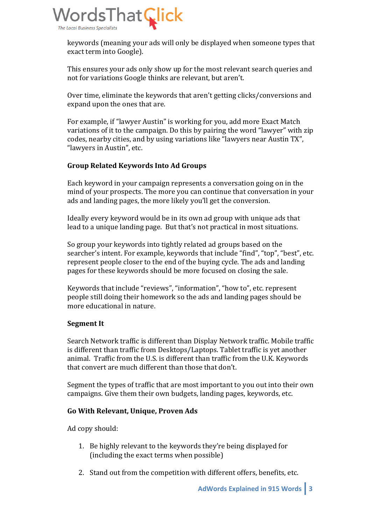

keywords (meaning your ads will only be displayed when someone types that exact term into Google).

This ensures your ads only show up for the most relevant search queries and not for variations Google thinks are relevant, but aren't.

Over time, eliminate the keywords that aren't getting clicks/conversions and expand upon the ones that are.

For example, if "lawyer Austin" is working for you, add more Exact Match variations of it to the campaign. Do this by pairing the word "lawyer" with zip codes, nearby cities, and by using variations like "lawyers near Austin TX", "lawyers in Austin", etc.

# **Group Related Keywords Into Ad Groups**

Each keyword in your campaign represents a conversation going on in the mind of your prospects. The more you can continue that conversation in your ads and landing pages, the more likely you'll get the conversion.

Ideally every keyword would be in its own ad group with unique ads that lead to a unique landing page. But that's not practical in most situations.

So group your keywords into tightly related ad groups based on the searcher's intent. For example, keywords that include "find", "top", "best", etc. represent people closer to the end of the buying cycle. The ads and landing pages for these keywords should be more focused on closing the sale.

Keywords that include "reviews", "information", "how to", etc. represent people still doing their homework so the ads and landing pages should be more educational in nature.

#### **Segment It**

Search Network traffic is different than Display Network traffic. Mobile traffic is different than traffic from Desktops/Laptops. Tablet traffic is yet another animal. Traffic from the U.S. is different than traffic from the U.K. Keywords that convert are much different than those that don't.

Segment the types of traffic that are most important to you out into their own campaigns. Give them their own budgets, landing pages, keywords, etc.

#### **Go With Relevant, Unique, Proven Ads**

Ad copy should:

- 1. Be highly relevant to the keywords they're being displayed for (including the exact terms when possible)
- 2. Stand out from the competition with different offers, benefits, etc.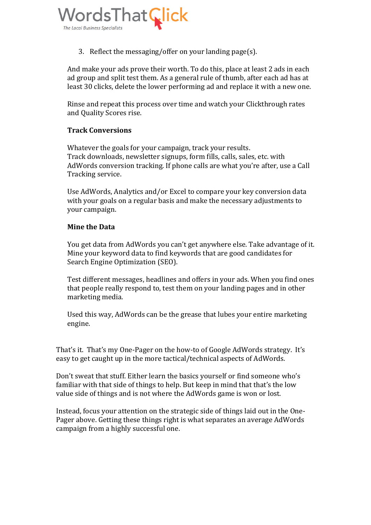

3. Reflect the messaging/offer on your landing page(s).

And make your ads prove their worth. To do this, place at least 2 ads in each ad group and split test them. As a general rule of thumb, after each ad has at least 30 clicks, delete the lower performing ad and replace it with a new one.

Rinse and repeat this process over time and watch your Clickthrough rates and Ouality Scores rise.

#### **Track Conversions**

Whatever the goals for your campaign, track your results. Track downloads, newsletter signups, form fills, calls, sales, etc. with AdWords conversion tracking. If phone calls are what you're after, use a Call Tracking service.

Use AdWords, Analytics and/or Excel to compare your key conversion data with your goals on a regular basis and make the necessary adjustments to vour campaign.

#### **Mine the Data**

You get data from AdWords you can't get anywhere else. Take advantage of it. Mine your keyword data to find keywords that are good candidates for Search Engine Optimization (SEO).

Test different messages, headlines and offers in your ads. When you find ones that people really respond to, test them on your landing pages and in other marketing media.

Used this way, AdWords can be the grease that lubes your entire marketing engine.

That's it. That's my One-Pager on the how-to of Google AdWords strategy. It's easy to get caught up in the more tactical/technical aspects of AdWords.

Don't sweat that stuff. Either learn the basics yourself or find someone who's familiar with that side of things to help. But keep in mind that that's the low value side of things and is not where the AdWords game is won or lost.

Instead, focus your attention on the strategic side of things laid out in the One-Pager above. Getting these things right is what separates an average AdWords campaign from a highly successful one.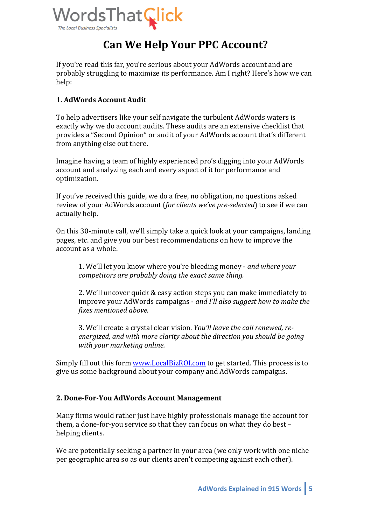

# **Can We Help Your PPC Account?**

If you're read this far, you're serious about your AdWords account and are probably struggling to maximize its performance. Am I right? Here's how we can help:

# **1. AdWords Account Audit**

To help advertisers like your self navigate the turbulent AdWords waters is exactly why we do account audits. These audits are an extensive checklist that provides a "Second Opinion" or audit of your AdWords account that's different from anything else out there.

Imagine having a team of highly experienced pro's digging into your AdWords account and analyzing each and every aspect of it for performance and optimization. 

If you've received this guide, we do a free, no obligation, no questions asked review of your AdWords account (*for clients we've pre-selected*) to see if we can actually help.

On this 30-minute call, we'll simply take a quick look at your campaigns, landing pages, etc. and give you our best recommendations on how to improve the account as a whole.

1. We'll let you know where you're bleeding money - *and where your competitors are probably doing the exact same thing.* 

2. We'll uncover quick & easy action steps you can make immediately to improve your AdWords campaigns - and I'll also suggest how to make the *fixes mentioned above.* 

3. We'll create a crystal clear vision. *You'll leave the call renewed, re*energized, and with more clarity about the direction you should be going *with your marketing online.*

Simply fill out this form www.LocalBizROI.com to get started. This process is to give us some background about your company and AdWords campaigns.

#### **2. Done-For-You AdWords Account Management**

Many firms would rather just have highly professionals manage the account for them, a done-for-you service so that they can focus on what they do best helping clients.

We are potentially seeking a partner in your area (we only work with one niche per geographic area so as our clients aren't competing against each other).